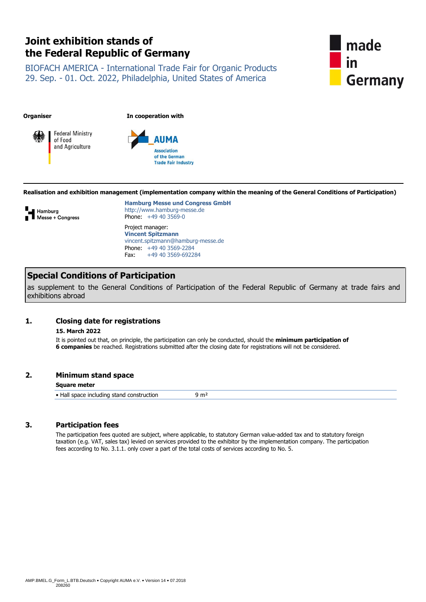# **Joint exhibition stands of the Federal Republic of Germany**

BIOFACH AMERICA - International Trade Fair for Organic Products 29. Sep. - 01. Oct. 2022, Philadelphia, United States of America



**Organiser In cooperation with**





**Realisation and exhibition management (implementation company within the meaning of the General Conditions of Participation)**



**Hamburg Messe und Congress GmbH** http://www.hamburg-messe.de Phone: +49 40 3569-0 Project manager: **Vincent Spitzmann** vincent.spitzmann@hamburg-messe.de Phone: +49 40 3569-2284 Fax: +49 40 3569-692284

# **Special Conditions of Participation**

as supplement to the General Conditions of Participation of the Federal Republic of Germany at trade fairs and exhibitions abroad

# **1. Closing date for registrations**

# **15. March 2022**

It is pointed out that, on principle, the participation can only be conducted, should the **minimum participation of 6 companies** be reached. Registrations submitted after the closing date for registrations will not be considered.

# **2. Minimum stand space**

#### **Square meter**

• Hall space including stand construction 9 m<sup>2</sup>

# **3. Participation fees**

The participation fees quoted are subject, where applicable, to statutory German value-added tax and to statutory foreign taxation (e.g. VAT, sales tax) levied on services provided to the exhibitor by the implementation company. The participation fees according to No. 3.1.1. only cover a part of the total costs of services according to No. 5.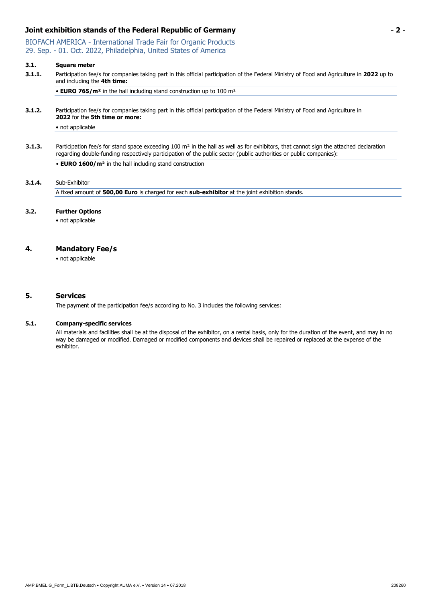# **Joint exhibition stands of the Federal Republic of Germany - 2 -**

BIOFACH AMERICA - International Trade Fair for Organic Products 29. Sep. - 01. Oct. 2022, Philadelphia, United States of America

#### **3.1. Square meter**

**3.1.1.** Participation fee/s for companies taking part in this official participation of the Federal Ministry of Food and Agriculture in **2022** up to and including the **4th time:**

• **EURO 765/m²** in the hall including stand construction up to 100 m²

**3.1.2.** Participation fee/s for companies taking part in this official participation of the Federal Ministry of Food and Agriculture in **2022** for the **5th time or more:**

• not applicable

**3.1.3.** Participation fee/s for stand space exceeding 100 m<sup>2</sup> in the hall as well as for exhibitors, that cannot sign the attached declaration regarding double-funding respectively participation of the public sector (public authorities or public companies): • **EURO 1600/m²** in the hall including stand construction

# **3.1.4.** Sub-Exhibitor

A fixed amount of **500,00 Euro** is charged for each **sub-exhibitor** at the joint exhibition stands.

#### **3.2. Further Options**

• not applicable

#### **4. Mandatory Fee/s**

• not applicable

#### **5. Services**

The payment of the participation fee/s according to No. 3 includes the following services:

#### **5.1. Company-specific services**

All materials and facilities shall be at the disposal of the exhibitor, on a rental basis, only for the duration of the event, and may in no way be damaged or modified. Damaged or modified components and devices shall be repaired or replaced at the expense of the exhibitor.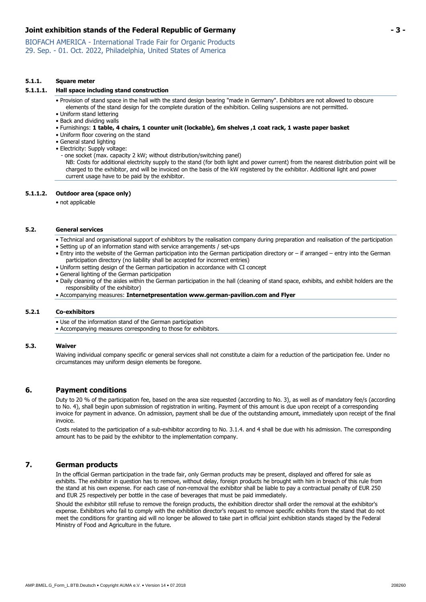# **Joint exhibition stands of the Federal Republic of Germany - 3 -**

BIOFACH AMERICA - International Trade Fair for Organic Products 29. Sep. - 01. Oct. 2022, Philadelphia, United States of America

#### **5.1.1. Square meter**

#### **5.1.1.1. Hall space including stand construction**

• Provision of stand space in the hall with the stand design bearing "made in Germany". Exhibitors are not allowed to obscure elements of the stand design for the complete duration of the exhibition. Ceiling suspensions are not permitted.

• Uniform stand lettering

• Back and dividing walls

• Furnishings: **1 table, 4 chairs, 1 counter unit (lockable), 6m shelves ,1 coat rack, 1 waste paper basket**

- Uniform floor covering on the stand
- General stand lighting
- Electricity: Supply voltage:

- one socket (max. capacity 2 kW; without distribution/switching panel)

NB: Costs for additional electricity supply to the stand (for both light and power current) from the nearest distribution point will be charged to the exhibitor, and will be invoiced on the basis of the kW registered by the exhibitor. Additional light and power current usage have to be paid by the exhibitor.

#### **5.1.1.2. Outdoor area (space only)**

• not applicable

#### **5.2. General services**

• Technical and organisational support of exhibitors by the realisation company during preparation and realisation of the participation • Setting up of an information stand with service arrangements / set-ups

- Entry into the website of the German participation into the German participation directory or if arranged entry into the German participation directory (no liability shall be accepted for incorrect entries)
- Uniform setting design of the German participation in accordance with CI concept
- General lighting of the German participation
- Daily cleaning of the aisles within the German participation in the hall (cleaning of stand space, exhibits, and exhibit holders are the responsibility of the exhibitor)
- Accompanying measures: **Internetpresentation www.german-pavilion.com and Flyer**

#### **5.2.1 Co-exhibitors**

• Use of the information stand of the German participation

• Accompanying measures corresponding to those for exhibitors.

#### **5.3. Waiver**

Waiving individual company specific or general services shall not constitute a claim for a reduction of the participation fee. Under no circumstances may uniform design elements be foregone.

#### **6. Payment conditions**

Duty to 20 % of the participation fee, based on the area size requested (according to No. 3), as well as of mandatory fee/s (according to No. 4), shall begin upon submission of registration in writing. Payment of this amount is due upon receipt of a corresponding invoice for payment in advance. On admission, payment shall be due of the outstanding amount, immediately upon receipt of the final invoice.

Costs related to the participation of a sub-exhibitor according to No. 3.1.4. and 4 shall be due with his admission. The corresponding amount has to be paid by the exhibitor to the implementation company.

# **7. German products**

In the official German participation in the trade fair, only German products may be present, displayed and offered for sale as exhibits. The exhibitor in question has to remove, without delay, foreign products he brought with him in breach of this rule from the stand at his own expense. For each case of non-removal the exhibitor shall be liable to pay a contractual penalty of EUR 250 and EUR 25 respectively per bottle in the case of beverages that must be paid immediately.

Should the exhibitor still refuse to remove the foreign products, the exhibition director shall order the removal at the exhibitor's expense. Exhibitors who fail to comply with the exhibition director's request to remove specific exhibits from the stand that do not meet the conditions for granting aid will no longer be allowed to take part in official joint exhibition stands staged by the Federal Ministry of Food and Agriculture in the future.